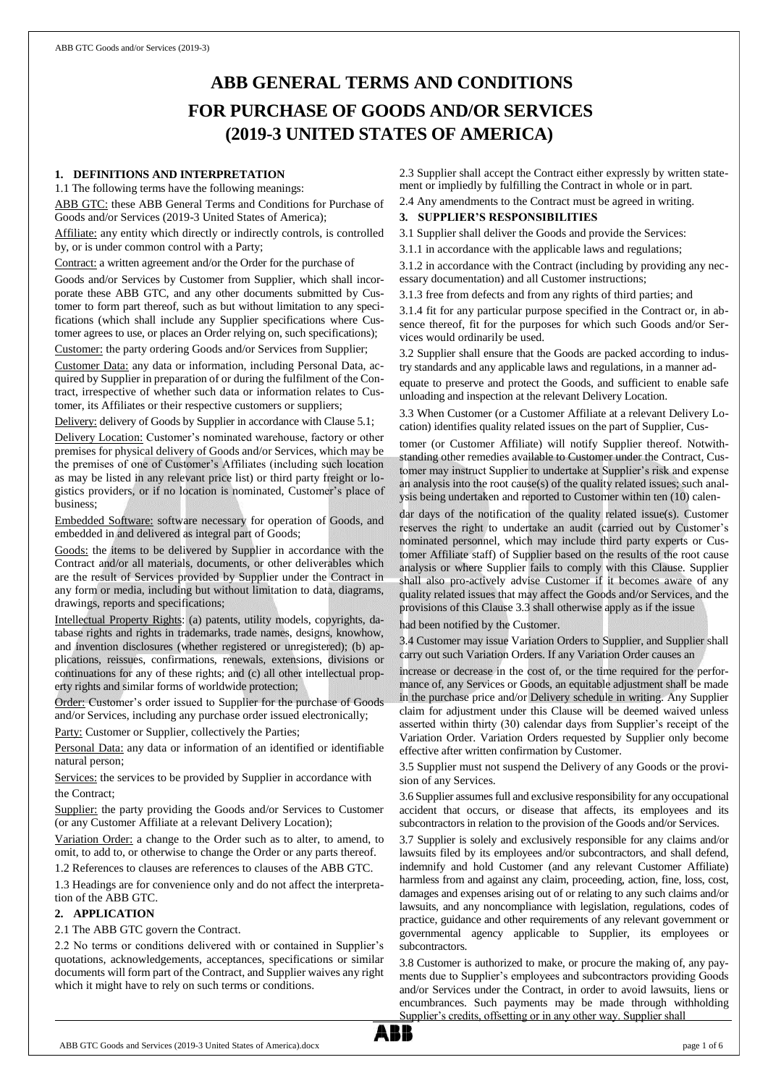# **ABB GENERAL TERMS AND CONDITIONS FOR PURCHASE OF GOODS AND/OR SERVICES (2019-3 UNITED STATES OF AMERICA)**

#### **1. DEFINITIONS AND INTERPRETATION**

1.1 The following terms have the following meanings:

ABB GTC: these ABB General Terms and Conditions for Purchase of Goods and/or Services (2019-3 United States of America);

Affiliate: any entity which directly or indirectly controls, is controlled by, or is under common control with a Party;

Contract: a written agreement and/or the Order for the purchase of

Goods and/or Services by Customer from Supplier, which shall incorporate these ABB GTC, and any other documents submitted by Customer to form part thereof, such as but without limitation to any specifications (which shall include any Supplier specifications where Customer agrees to use, or places an Order relying on, such specifications); Customer: the party ordering Goods and/or Services from Supplier;

Customer Data: any data or information, including Personal Data, acquired by Supplier in preparation of or during the fulfilment of the Contract, irrespective of whether such data or information relates to Customer, its Affiliates or their respective customers or suppliers;

Delivery: delivery of Goods by Supplier in accordance with Clause 5.1;

Delivery Location: Customer's nominated warehouse, factory or other premises for physical delivery of Goods and/or Services, which may be the premises of one of Customer's Affiliates (including such location as may be listed in any relevant price list) or third party freight or logistics providers, or if no location is nominated, Customer's place of business;

Embedded Software: software necessary for operation of Goods, and embedded in and delivered as integral part of Goods;

Goods: the items to be delivered by Supplier in accordance with the Contract and/or all materials, documents, or other deliverables which are the result of Services provided by Supplier under the Contract in any form or media, including but without limitation to data, diagrams, drawings, reports and specifications;

Intellectual Property Rights: (a) patents, utility models, copyrights, database rights and rights in trademarks, trade names, designs, knowhow, and invention disclosures (whether registered or unregistered); (b) applications, reissues, confirmations, renewals, extensions, divisions or continuations for any of these rights; and (c) all other intellectual property rights and similar forms of worldwide protection;

Order: Customer's order issued to Supplier for the purchase of Goods and/or Services, including any purchase order issued electronically;

Party: Customer or Supplier, collectively the Parties;

Personal Data: any data or information of an identified or identifiable natural person;

Services: the services to be provided by Supplier in accordance with the Contract;

Supplier: the party providing the Goods and/or Services to Customer (or any Customer Affiliate at a relevant Delivery Location);

Variation Order: a change to the Order such as to alter, to amend, to omit, to add to, or otherwise to change the Order or any parts thereof.

1.2 References to clauses are references to clauses of the ABB GTC.

1.3 Headings are for convenience only and do not affect the interpretation of the ABB GTC.

#### **2. APPLICATION**

2.1 The ABB GTC govern the Contract.

2.2 No terms or conditions delivered with or contained in Supplier's quotations, acknowledgements, acceptances, specifications or similar documents will form part of the Contract, and Supplier waives any right which it might have to rely on such terms or conditions.

2.3 Supplier shall accept the Contract either expressly by written statement or impliedly by fulfilling the Contract in whole or in part.

2.4 Any amendments to the Contract must be agreed in writing.

## **3. SUPPLIER'S RESPONSIBILITIES**

3.1 Supplier shall deliver the Goods and provide the Services:

3.1.1 in accordance with the applicable laws and regulations;

3.1.2 in accordance with the Contract (including by providing any necessary documentation) and all Customer instructions;

3.1.3 free from defects and from any rights of third parties; and

3.1.4 fit for any particular purpose specified in the Contract or, in absence thereof, fit for the purposes for which such Goods and/or Services would ordinarily be used.

3.2 Supplier shall ensure that the Goods are packed according to industry standards and any applicable laws and regulations, in a manner ad-

equate to preserve and protect the Goods, and sufficient to enable safe unloading and inspection at the relevant Delivery Location.

3.3 When Customer (or a Customer Affiliate at a relevant Delivery Location) identifies quality related issues on the part of Supplier, Cus-

tomer (or Customer Affiliate) will notify Supplier thereof. Notwithstanding other remedies available to Customer under the Contract, Customer may instruct Supplier to undertake at Supplier's risk and expense an analysis into the root cause(s) of the quality related issues; such analysis being undertaken and reported to Customer within ten (10) calen-

dar days of the notification of the quality related issue(s). Customer reserves the right to undertake an audit (carried out by Customer's nominated personnel, which may include third party experts or Customer Affiliate staff) of Supplier based on the results of the root cause analysis or where Supplier fails to comply with this Clause. Supplier shall also pro-actively advise Customer if it becomes aware of any quality related issues that may affect the Goods and/or Services, and the provisions of this Clause 3.3 shall otherwise apply as if the issue

had been notified by the Customer.

3.4 Customer may issue Variation Orders to Supplier, and Supplier shall carry out such Variation Orders. If any Variation Order causes an

increase or decrease in the cost of, or the time required for the performance of, any Services or Goods, an equitable adjustment shall be made in the purchase price and/or Delivery schedule in writing. Any Supplier claim for adjustment under this Clause will be deemed waived unless asserted within thirty (30) calendar days from Supplier's receipt of the Variation Order. Variation Orders requested by Supplier only become effective after written confirmation by Customer.

3.5 Supplier must not suspend the Delivery of any Goods or the provision of any Services.

3.6 Supplier assumes full and exclusive responsibility for any occupational accident that occurs, or disease that affects, its employees and its subcontractors in relation to the provision of the Goods and/or Services.

3.7 Supplier is solely and exclusively responsible for any claims and/or lawsuits filed by its employees and/or subcontractors, and shall defend, indemnify and hold Customer (and any relevant Customer Affiliate) harmless from and against any claim, proceeding, action, fine, loss, cost, damages and expenses arising out of or relating to any such claims and/or lawsuits, and any noncompliance with legislation, regulations, codes of practice, guidance and other requirements of any relevant government or governmental agency applicable to Supplier, its employees or subcontractors.

3.8 Customer is authorized to make, or procure the making of, any payments due to Supplier's employees and subcontractors providing Goods and/or Services under the Contract, in order to avoid lawsuits, liens or encumbrances. Such payments may be made through withholding Supplier's credits, offsetting or in any other way. Supplier shall

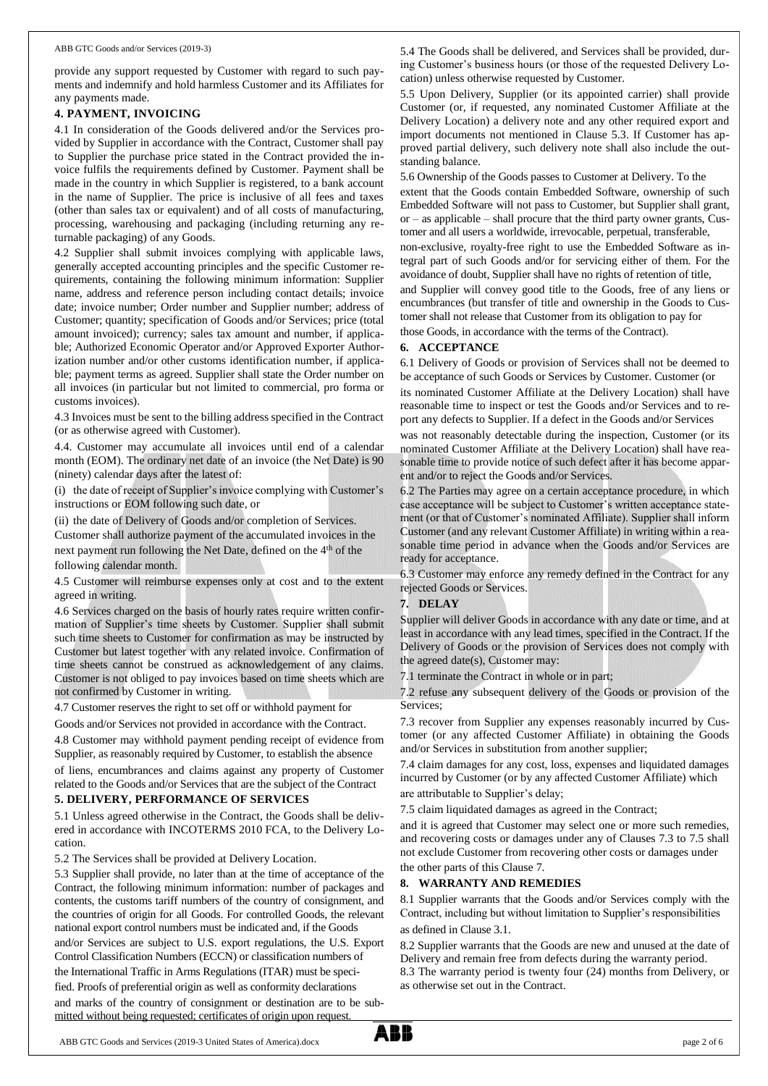provide any support requested by Customer with regard to such payments and indemnify and hold harmless Customer and its Affiliates for any payments made.

#### **4. PAYMENT, INVOICING**

4.1 In consideration of the Goods delivered and/or the Services provided by Supplier in accordance with the Contract, Customer shall pay to Supplier the purchase price stated in the Contract provided the invoice fulfils the requirements defined by Customer. Payment shall be made in the country in which Supplier is registered, to a bank account in the name of Supplier. The price is inclusive of all fees and taxes (other than sales tax or equivalent) and of all costs of manufacturing, processing, warehousing and packaging (including returning any returnable packaging) of any Goods.

4.2 Supplier shall submit invoices complying with applicable laws, generally accepted accounting principles and the specific Customer requirements, containing the following minimum information: Supplier name, address and reference person including contact details; invoice date; invoice number; Order number and Supplier number; address of Customer; quantity; specification of Goods and/or Services; price (total amount invoiced); currency; sales tax amount and number, if applicable; Authorized Economic Operator and/or Approved Exporter Authorization number and/or other customs identification number, if applicable; payment terms as agreed. Supplier shall state the Order number on all invoices (in particular but not limited to commercial, pro forma or customs invoices).

4.3 Invoices must be sent to the billing address specified in the Contract (or as otherwise agreed with Customer).

4.4. Customer may accumulate all invoices until end of a calendar month (EOM). The ordinary net date of an invoice (the Net Date) is 90 (ninety) calendar days after the latest of:

(i) the date of receipt of Supplier's invoice complying with Customer's instructions or EOM following such date, or

(ii) the date of Delivery of Goods and/or completion of Services.

Customer shall authorize payment of the accumulated invoices in the next payment run following the Net Date, defined on the 4<sup>th</sup> of the following calendar month.

4.5 Customer will reimburse expenses only at cost and to the extent agreed in writing.

4.6 Services charged on the basis of hourly rates require written confirmation of Supplier's time sheets by Customer. Supplier shall submit such time sheets to Customer for confirmation as may be instructed by Customer but latest together with any related invoice. Confirmation of time sheets cannot be construed as acknowledgement of any claims. Customer is not obliged to pay invoices based on time sheets which are not confirmed by Customer in writing.

4.7 Customer reserves the right to set off or withhold payment for

Goods and/or Services not provided in accordance with the Contract.

4.8 Customer may withhold payment pending receipt of evidence from Supplier, as reasonably required by Customer, to establish the absence

of liens, encumbrances and claims against any property of Customer related to the Goods and/or Services that are the subject of the Contract

## **5. DELIVERY, PERFORMANCE OF SERVICES**

5.1 Unless agreed otherwise in the Contract, the Goods shall be delivered in accordance with INCOTERMS 2010 FCA, to the Delivery Location.

5.2 The Services shall be provided at Delivery Location.

5.3 Supplier shall provide, no later than at the time of acceptance of the Contract, the following minimum information: number of packages and contents, the customs tariff numbers of the country of consignment, and the countries of origin for all Goods. For controlled Goods, the relevant national export control numbers must be indicated and, if the Goods and/or Services are subject to U.S. export regulations, the U.S. Export Control Classification Numbers (ECCN) or classification numbers of the International Traffic in Arms Regulations (ITAR) must be specified. Proofs of preferential origin as well as conformity declarations and marks of the country of consignment or destination are to be submitted without being requested; certificates of origin upon request.

5.4 The Goods shall be delivered, and Services shall be provided, during Customer's business hours (or those of the requested Delivery Location) unless otherwise requested by Customer.

5.5 Upon Delivery, Supplier (or its appointed carrier) shall provide Customer (or, if requested, any nominated Customer Affiliate at the Delivery Location) a delivery note and any other required export and import documents not mentioned in Clause 5.3. If Customer has approved partial delivery, such delivery note shall also include the outstanding balance.

5.6 Ownership of the Goods passes to Customer at Delivery. To the extent that the Goods contain Embedded Software, ownership of such Embedded Software will not pass to Customer, but Supplier shall grant, or – as applicable – shall procure that the third party owner grants, Customer and all users a worldwide, irrevocable, perpetual, transferable,

non-exclusive, royalty-free right to use the Embedded Software as integral part of such Goods and/or for servicing either of them. For the avoidance of doubt, Supplier shall have no rights of retention of title, and Supplier will convey good title to the Goods, free of any liens or encumbrances (but transfer of title and ownership in the Goods to Customer shall not release that Customer from its obligation to pay for those Goods, in accordance with the terms of the Contract).

#### **6. ACCEPTANCE**

6.1 Delivery of Goods or provision of Services shall not be deemed to be acceptance of such Goods or Services by Customer. Customer (or

its nominated Customer Affiliate at the Delivery Location) shall have reasonable time to inspect or test the Goods and/or Services and to report any defects to Supplier. If a defect in the Goods and/or Services was not reasonably detectable during the inspection, Customer (or its nominated Customer Affiliate at the Delivery Location) shall have reasonable time to provide notice of such defect after it has become apparent and/or to reject the Goods and/or Services.

6.2 The Parties may agree on a certain acceptance procedure, in which case acceptance will be subject to Customer's written acceptance statement (or that of Customer's nominated Affiliate). Supplier shall inform Customer (and any relevant Customer Affiliate) in writing within a reasonable time period in advance when the Goods and/or Services are ready for acceptance.

6.3 Customer may enforce any remedy defined in the Contract for any rejected Goods or Services.

#### **7. DELAY**

Supplier will deliver Goods in accordance with any date or time, and at least in accordance with any lead times, specified in the Contract. If the Delivery of Goods or the provision of Services does not comply with the agreed date(s), Customer may:

7.1 terminate the Contract in whole or in part;

7.2 refuse any subsequent delivery of the Goods or provision of the Services;

7.3 recover from Supplier any expenses reasonably incurred by Customer (or any affected Customer Affiliate) in obtaining the Goods and/or Services in substitution from another supplier;

7.4 claim damages for any cost, loss, expenses and liquidated damages incurred by Customer (or by any affected Customer Affiliate) which are attributable to Supplier's delay;

7.5 claim liquidated damages as agreed in the Contract;

and it is agreed that Customer may select one or more such remedies, and recovering costs or damages under any of Clauses 7.3 to 7.5 shall not exclude Customer from recovering other costs or damages under the other parts of this Clause 7.

## **8. WARRANTY AND REMEDIES**

8.1 Supplier warrants that the Goods and/or Services comply with the Contract, including but without limitation to Supplier's responsibilities as defined in Clause 3.1.

8.2 Supplier warrants that the Goods are new and unused at the date of Delivery and remain free from defects during the warranty period. 8.3 The warranty period is twenty four (24) months from Delivery, or as otherwise set out in the Contract.

ABB GTC Goods and Services (2019-3 United States of America).docx page 2 of 6

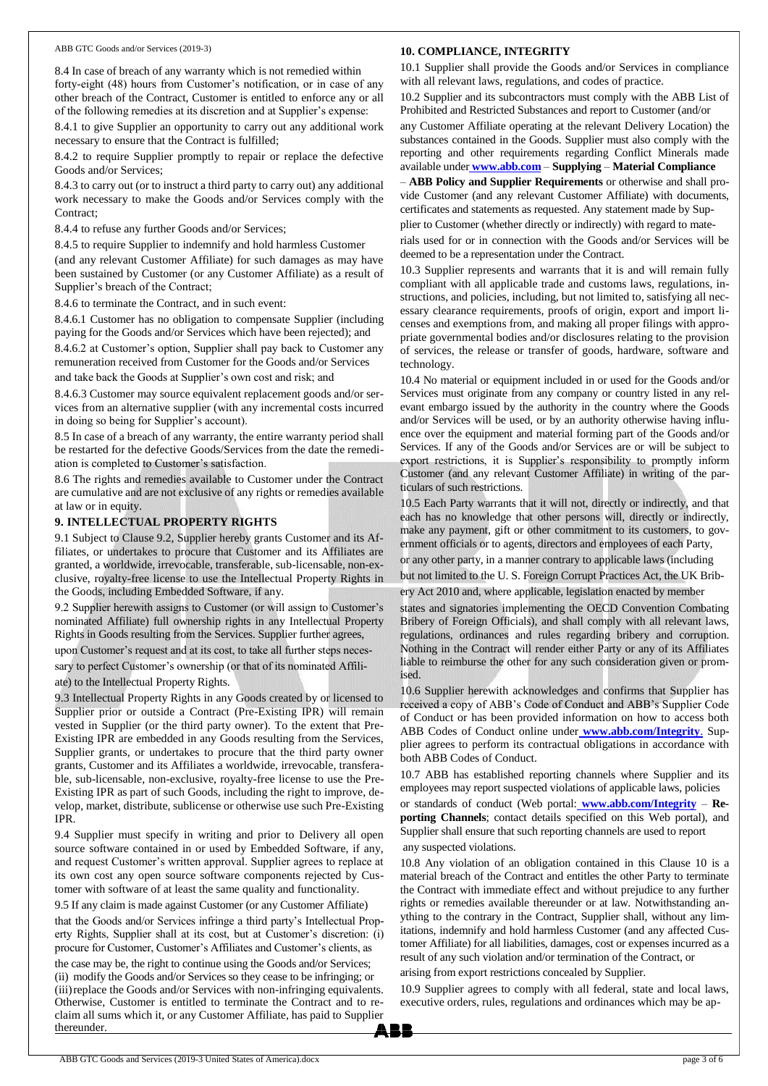#### ABB GTC Goods and/or Services (2019-3)

#### **10. COMPLIANCE, INTEGRITY**

8.4 In case of breach of any warranty which is not remedied within forty-eight (48) hours from Customer's notification, or in case of any other breach of the Contract, Customer is entitled to enforce any or all of the following remedies at its discretion and at Supplier's expense:

8.4.1 to give Supplier an opportunity to carry out any additional work necessary to ensure that the Contract is fulfilled;

8.4.2 to require Supplier promptly to repair or replace the defective Goods and/or Services;

8.4.3 to carry out (or to instruct a third party to carry out) any additional work necessary to make the Goods and/or Services comply with the Contract;

8.4.4 to refuse any further Goods and/or Services;

8.4.5 to require Supplier to indemnify and hold harmless Customer

(and any relevant Customer Affiliate) for such damages as may have been sustained by Customer (or any Customer Affiliate) as a result of Supplier's breach of the Contract;

8.4.6 to terminate the Contract, and in such event:

8.4.6.1 Customer has no obligation to compensate Supplier (including paying for the Goods and/or Services which have been rejected); and

8.4.6.2 at Customer's option, Supplier shall pay back to Customer any remuneration received from Customer for the Goods and/or Services

and take back the Goods at Supplier's own cost and risk; and

8.4.6.3 Customer may source equivalent replacement goods and/or services from an alternative supplier (with any incremental costs incurred in doing so being for Supplier's account).

8.5 In case of a breach of any warranty, the entire warranty period shall be restarted for the defective Goods/Services from the date the remediation is completed to Customer's satisfaction.

8.6 The rights and remedies available to Customer under the Contract are cumulative and are not exclusive of any rights or remedies available at law or in equity.

## **9. INTELLECTUAL PROPERTY RIGHTS**

9.1 Subject to Clause 9.2, Supplier hereby grants Customer and its Affiliates, or undertakes to procure that Customer and its Affiliates are granted, a worldwide, irrevocable, transferable, sub-licensable, non-exclusive, royalty-free license to use the Intellectual Property Rights in the Goods, including Embedded Software, if any.

9.2 Supplier herewith assigns to Customer (or will assign to Customer's nominated Affiliate) full ownership rights in any Intellectual Property Rights in Goods resulting from the Services. Supplier further agrees,

upon Customer's request and at its cost, to take all further steps necessary to perfect Customer's ownership (or that of its nominated Affili-

ate) to the Intellectual Property Rights.

9.3 Intellectual Property Rights in any Goods created by or licensed to Supplier prior or outside a Contract (Pre-Existing IPR) will remain vested in Supplier (or the third party owner). To the extent that Pre-Existing IPR are embedded in any Goods resulting from the Services, Supplier grants, or undertakes to procure that the third party owner grants, Customer and its Affiliates a worldwide, irrevocable, transferable, sub-licensable, non-exclusive, royalty-free license to use the Pre-Existing IPR as part of such Goods, including the right to improve, develop, market, distribute, sublicense or otherwise use such Pre-Existing IPR.

9.4 Supplier must specify in writing and prior to Delivery all open source software contained in or used by Embedded Software, if any, and request Customer's written approval. Supplier agrees to replace at its own cost any open source software components rejected by Customer with software of at least the same quality and functionality.

9.5 If any claim is made against Customer (or any Customer Affiliate) that the Goods and/or Services infringe a third party's Intellectual Property Rights, Supplier shall at its cost, but at Customer's discretion: (i) procure for Customer, Customer's Affiliates and Customer's clients, as the case may be, the right to continue using the Goods and/or Services; (ii) modify the Goods and/or Services so they cease to be infringing; or (iii)replace the Goods and/or Services with non-infringing equivalents. Otherwise, Customer is entitled to terminate the Contract and to reclaim all sums which it, or any Customer Affiliate, has paid to Supplier thereunder

10.1 Supplier shall provide the Goods and/or Services in compliance with all relevant laws, regulations, and codes of practice.

10.2 Supplier and its subcontractors must comply with the ABB List of Prohibited and Restricted Substances and report to Customer (and/or

any Customer Affiliate operating at the relevant Delivery Location) the substances contained in the Goods. Supplier must also comply with the reporting and other requirements regarding Conflict Minerals made available under **[www.abb.com](http://www.abb.com/)** – **Supplying** – **Material Compliance** 

– **ABB Policy and Supplier Requirements** or otherwise and shall provide Customer (and any relevant Customer Affiliate) with documents, certificates and statements as requested. Any statement made by Sup-

plier to Customer (whether directly or indirectly) with regard to materials used for or in connection with the Goods and/or Services will be deemed to be a representation under the Contract.

10.3 Supplier represents and warrants that it is and will remain fully compliant with all applicable trade and customs laws, regulations, instructions, and policies, including, but not limited to, satisfying all necessary clearance requirements, proofs of origin, export and import licenses and exemptions from, and making all proper filings with appropriate governmental bodies and/or disclosures relating to the provision of services, the release or transfer of goods, hardware, software and technology.

10.4 No material or equipment included in or used for the Goods and/or Services must originate from any company or country listed in any relevant embargo issued by the authority in the country where the Goods and/or Services will be used, or by an authority otherwise having influence over the equipment and material forming part of the Goods and/or Services. If any of the Goods and/or Services are or will be subject to export restrictions, it is Supplier's responsibility to promptly inform Customer (and any relevant Customer Affiliate) in writing of the particulars of such restrictions.

10.5 Each Party warrants that it will not, directly or indirectly, and that each has no knowledge that other persons will, directly or indirectly, make any payment, gift or other commitment to its customers, to government officials or to agents, directors and employees of each Party,

or any other party, in a manner contrary to applicable laws (including

but not limited to the U. S. Foreign Corrupt Practices Act, the UK Brib-

ery Act 2010 and, where applicable, legislation enacted by member

states and signatories implementing the OECD Convention Combating Bribery of Foreign Officials), and shall comply with all relevant laws, regulations, ordinances and rules regarding bribery and corruption. Nothing in the Contract will render either Party or any of its Affiliates liable to reimburse the other for any such consideration given or promised.

10.6 Supplier herewith acknowledges and confirms that Supplier has received a copy of ABB's Code of Conduct and ABB's Supplier Code of Conduct or has been provided information on how to access both ABB Codes of Conduct online under **[www.abb.com/Integrity](http://www.abb.com/Integrity)**. Supplier agrees to perform its contractual obligations in accordance with both ABB Codes of Conduct.

10.7 ABB has established reporting channels where Supplier and its employees may report suspected violations of applicable laws, policies or standards of conduct (Web portal: **[www.abb.com/Integrity](http://www.abb.com/Integrity)** – **Reporting Channels**; contact details specified on this Web portal), and Supplier shall ensure that such reporting channels are used to report

#### any suspected violations.

10.8 Any violation of an obligation contained in this Clause 10 is a material breach of the Contract and entitles the other Party to terminate the Contract with immediate effect and without prejudice to any further rights or remedies available thereunder or at law. Notwithstanding anything to the contrary in the Contract, Supplier shall, without any limitations, indemnify and hold harmless Customer (and any affected Customer Affiliate) for all liabilities, damages, cost or expenses incurred as a result of any such violation and/or termination of the Contract, or

arising from export restrictions concealed by Supplier.

10.9 Supplier agrees to comply with all federal, state and local laws, executive orders, rules, regulations and ordinances which may be ap-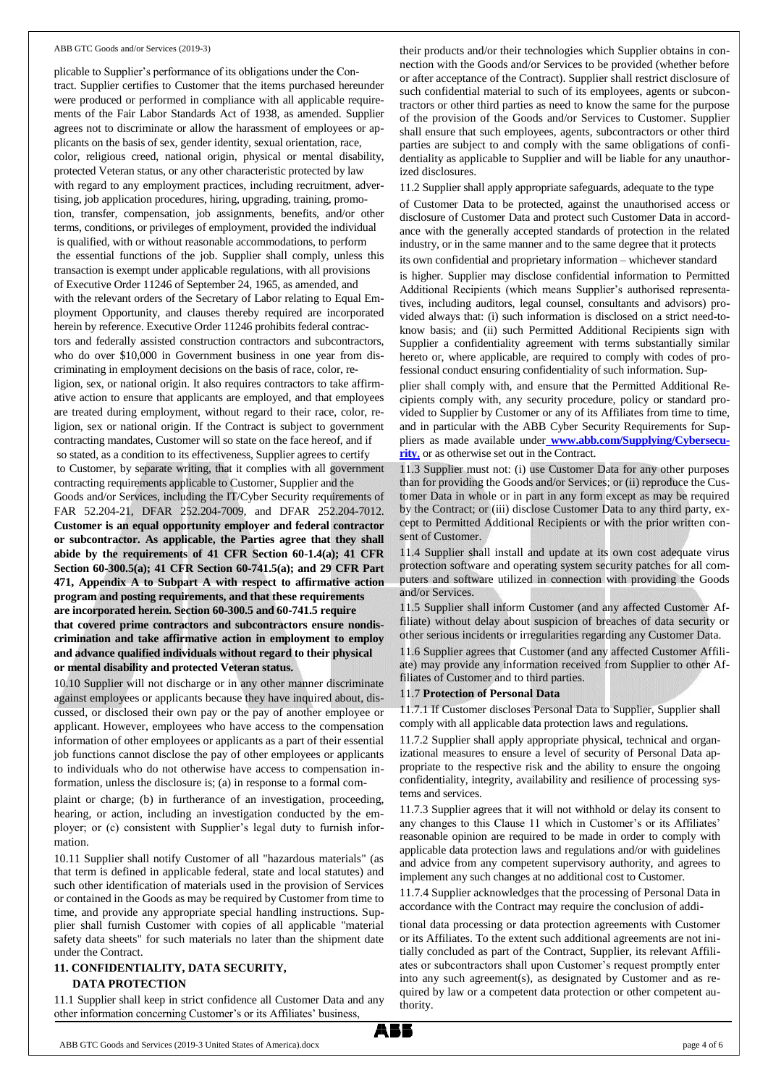#### ABB GTC Goods and/or Services (2019-3)

plicable to Supplier's performance of its obligations under the Contract. Supplier certifies to Customer that the items purchased hereunder were produced or performed in compliance with all applicable requirements of the Fair Labor Standards Act of 1938, as amended. Supplier agrees not to discriminate or allow the harassment of employees or applicants on the basis of sex, gender identity, sexual orientation, race, color, religious creed, national origin, physical or mental disability, protected Veteran status, or any other characteristic protected by law with regard to any employment practices, including recruitment, advertising, job application procedures, hiring, upgrading, training, promotion, transfer, compensation, job assignments, benefits, and/or other terms, conditions, or privileges of employment, provided the individual is qualified, with or without reasonable accommodations, to perform the essential functions of the job. Supplier shall comply, unless this transaction is exempt under applicable regulations, with all provisions of Executive Order 11246 of September 24, 1965, as amended, and with the relevant orders of the Secretary of Labor relating to Equal Employment Opportunity, and clauses thereby required are incorporated herein by reference. Executive Order 11246 prohibits federal contractors and federally assisted construction contractors and subcontractors, who do over \$10,000 in Government business in one year from discriminating in employment decisions on the basis of race, color, religion, sex, or national origin. It also requires contractors to take affirmative action to ensure that applicants are employed, and that employees are treated during employment, without regard to their race, color, religion, sex or national origin. If the Contract is subject to government contracting mandates, Customer will so state on the face hereof, and if so stated, as a condition to its effectiveness, Supplier agrees to certify to Customer, by separate writing, that it complies with all government contracting requirements applicable to Customer, Supplier and the Goods and/or Services, including the IT/Cyber Security requirements of FAR 52.204-21, DFAR 252.204-7009, and DFAR 252.204-7012. **Customer is an equal opportunity employer and federal contractor or subcontractor. As applicable, the Parties agree that they shall abide by the requirements of 41 CFR Section 60-1.4(a); 41 CFR Section 60-300.5(a); 41 CFR Section 60-741.5(a); and 29 CFR Part 471, Appendix A to Subpart A with respect to affirmative action program and posting requirements, and that these requirements are incorporated herein. Section 60-300.5 and 60-741.5 require that covered prime contractors and subcontractors ensure nondiscrimination and take affirmative action in employment to employ and advance qualified individuals without regard to their physical or mental disability and protected Veteran status.**

10.10 Supplier will not discharge or in any other manner discriminate against employees or applicants because they have inquired about, discussed, or disclosed their own pay or the pay of another employee or applicant. However, employees who have access to the compensation information of other employees or applicants as a part of their essential job functions cannot disclose the pay of other employees or applicants to individuals who do not otherwise have access to compensation information, unless the disclosure is; (a) in response to a formal com-

plaint or charge; (b) in furtherance of an investigation, proceeding, hearing, or action, including an investigation conducted by the employer; or (c) consistent with Supplier's legal duty to furnish information.

10.11 Supplier shall notify Customer of all "hazardous materials" (as that term is defined in applicable federal, state and local statutes) and such other identification of materials used in the provision of Services or contained in the Goods as may be required by Customer from time to time, and provide any appropriate special handling instructions. Supplier shall furnish Customer with copies of all applicable "material safety data sheets" for such materials no later than the shipment date under the Contract.

## **11. CONFIDENTIALITY, DATA SECURITY,**

#### **DATA PROTECTION**

11.1 Supplier shall keep in strict confidence all Customer Data and any other information concerning Customer's or its Affiliates' business,

their products and/or their technologies which Supplier obtains in connection with the Goods and/or Services to be provided (whether before or after acceptance of the Contract). Supplier shall restrict disclosure of such confidential material to such of its employees, agents or subcontractors or other third parties as need to know the same for the purpose of the provision of the Goods and/or Services to Customer. Supplier shall ensure that such employees, agents, subcontractors or other third parties are subject to and comply with the same obligations of confidentiality as applicable to Supplier and will be liable for any unauthorized disclosures.

11.2 Supplier shall apply appropriate safeguards, adequate to the type

of Customer Data to be protected, against the unauthorised access or disclosure of Customer Data and protect such Customer Data in accordance with the generally accepted standards of protection in the related industry, or in the same manner and to the same degree that it protects its own confidential and proprietary information – whichever standard

is higher. Supplier may disclose confidential information to Permitted Additional Recipients (which means Supplier's authorised representatives, including auditors, legal counsel, consultants and advisors) provided always that: (i) such information is disclosed on a strict need-toknow basis; and (ii) such Permitted Additional Recipients sign with Supplier a confidentiality agreement with terms substantially similar hereto or, where applicable, are required to comply with codes of professional conduct ensuring confidentiality of such information. Sup-

plier shall comply with, and ensure that the Permitted Additional Recipients comply with, any security procedure, policy or standard provided to Supplier by Customer or any of its Affiliates from time to time, and in particular with the ABB Cyber Security Requirements for Suppliers as made available under **[www.abb.com/Supplying/Cybersecu](http://www.abb.com/Supplying/Cybersecu-rity,)[rity](http://www.abb.com/Supplying/Cybersecu-rity,)**, or as otherwise set out in the Contract.

11.3 Supplier must not: (i) use Customer Data for any other purposes than for providing the Goods and/or Services; or (ii) reproduce the Customer Data in whole or in part in any form except as may be required by the Contract; or (iii) disclose Customer Data to any third party, except to Permitted Additional Recipients or with the prior written consent of Customer.

11.4 Supplier shall install and update at its own cost adequate virus protection software and operating system security patches for all computers and software utilized in connection with providing the Goods and/or Services.

11.5 Supplier shall inform Customer (and any affected Customer Affiliate) without delay about suspicion of breaches of data security or other serious incidents or irregularities regarding any Customer Data.

11.6 Supplier agrees that Customer (and any affected Customer Affiliate) may provide any information received from Supplier to other Affiliates of Customer and to third parties.

#### 11.7 **Protection of Personal Data**

11.7.1 If Customer discloses Personal Data to Supplier, Supplier shall comply with all applicable data protection laws and regulations.

11.7.2 Supplier shall apply appropriate physical, technical and organizational measures to ensure a level of security of Personal Data appropriate to the respective risk and the ability to ensure the ongoing confidentiality, integrity, availability and resilience of processing systems and services.

11.7.3 Supplier agrees that it will not withhold or delay its consent to any changes to this Clause 11 which in Customer's or its Affiliates' reasonable opinion are required to be made in order to comply with applicable data protection laws and regulations and/or with guidelines and advice from any competent supervisory authority, and agrees to implement any such changes at no additional cost to Customer.

11.7.4 Supplier acknowledges that the processing of Personal Data in accordance with the Contract may require the conclusion of addi-

tional data processing or data protection agreements with Customer or its Affiliates. To the extent such additional agreements are not initially concluded as part of the Contract, Supplier, its relevant Affiliates or subcontractors shall upon Customer's request promptly enter into any such agreement(s), as designated by Customer and as required by law or a competent data protection or other competent authority.

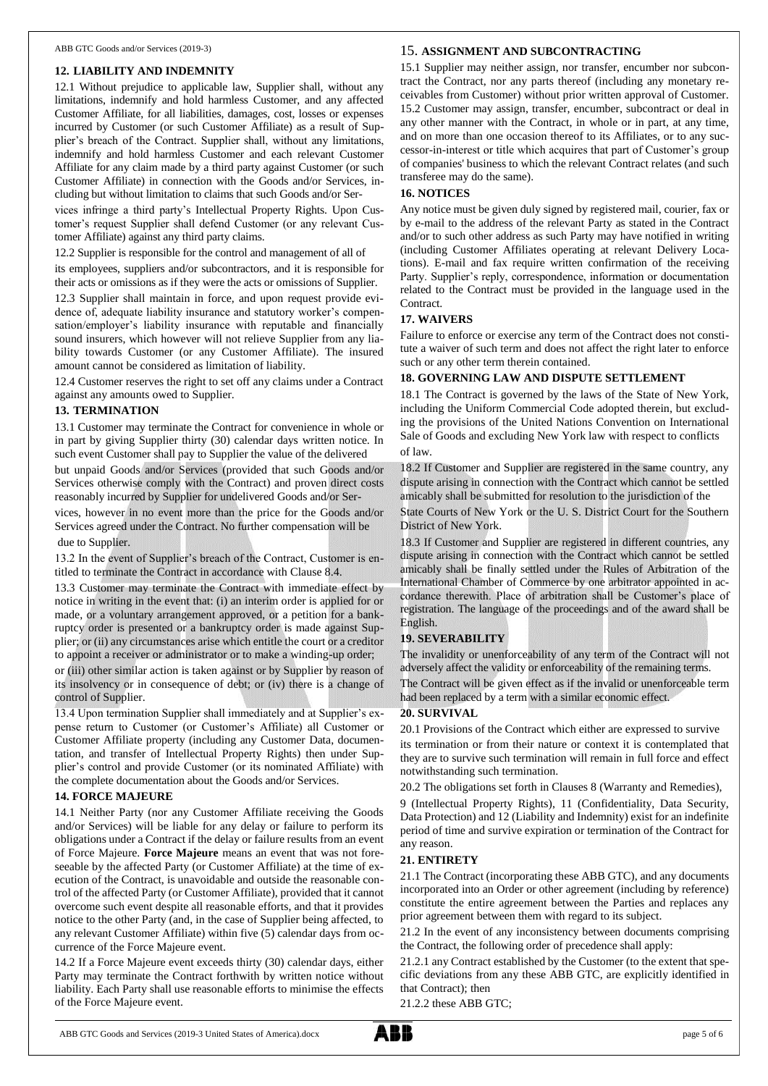#### **12. LIABILITY AND INDEMNITY**

12.1 Without prejudice to applicable law, Supplier shall, without any limitations, indemnify and hold harmless Customer, and any affected Customer Affiliate, for all liabilities, damages, cost, losses or expenses incurred by Customer (or such Customer Affiliate) as a result of Supplier's breach of the Contract. Supplier shall, without any limitations, indemnify and hold harmless Customer and each relevant Customer Affiliate for any claim made by a third party against Customer (or such Customer Affiliate) in connection with the Goods and/or Services, including but without limitation to claims that such Goods and/or Ser-

vices infringe a third party's Intellectual Property Rights. Upon Customer's request Supplier shall defend Customer (or any relevant Customer Affiliate) against any third party claims.

12.2 Supplier is responsible for the control and management of all of

its employees, suppliers and/or subcontractors, and it is responsible for their acts or omissions as if they were the acts or omissions of Supplier.

12.3 Supplier shall maintain in force, and upon request provide evidence of, adequate liability insurance and statutory worker's compensation/employer's liability insurance with reputable and financially sound insurers, which however will not relieve Supplier from any liability towards Customer (or any Customer Affiliate). The insured amount cannot be considered as limitation of liability.

12.4 Customer reserves the right to set off any claims under a Contract against any amounts owed to Supplier.

#### **13. TERMINATION**

13.1 Customer may terminate the Contract for convenience in whole or in part by giving Supplier thirty (30) calendar days written notice. In such event Customer shall pay to Supplier the value of the delivered

but unpaid Goods and/or Services (provided that such Goods and/or Services otherwise comply with the Contract) and proven direct costs reasonably incurred by Supplier for undelivered Goods and/or Ser-

vices, however in no event more than the price for the Goods and/or Services agreed under the Contract. No further compensation will be due to Supplier.

13.2 In the event of Supplier's breach of the Contract, Customer is entitled to terminate the Contract in accordance with Clause 8.4.

13.3 Customer may terminate the Contract with immediate effect by notice in writing in the event that: (i) an interim order is applied for or made, or a voluntary arrangement approved, or a petition for a bankruptcy order is presented or a bankruptcy order is made against Supplier; or (ii) any circumstances arise which entitle the court or a creditor to appoint a receiver or administrator or to make a winding-up order;

or (iii) other similar action is taken against or by Supplier by reason of its insolvency or in consequence of debt; or (iv) there is a change of control of Supplier.

13.4 Upon termination Supplier shall immediately and at Supplier's expense return to Customer (or Customer's Affiliate) all Customer or Customer Affiliate property (including any Customer Data, documentation, and transfer of Intellectual Property Rights) then under Supplier's control and provide Customer (or its nominated Affiliate) with the complete documentation about the Goods and/or Services.

#### **14. FORCE MAJEURE**

14.1 Neither Party (nor any Customer Affiliate receiving the Goods and/or Services) will be liable for any delay or failure to perform its obligations under a Contract if the delay or failure results from an event of Force Majeure. **Force Majeure** means an event that was not foreseeable by the affected Party (or Customer Affiliate) at the time of execution of the Contract, is unavoidable and outside the reasonable control of the affected Party (or Customer Affiliate), provided that it cannot overcome such event despite all reasonable efforts, and that it provides notice to the other Party (and, in the case of Supplier being affected, to any relevant Customer Affiliate) within five (5) calendar days from occurrence of the Force Majeure event.

14.2 If a Force Majeure event exceeds thirty (30) calendar days, either Party may terminate the Contract forthwith by written notice without liability. Each Party shall use reasonable efforts to minimise the effects of the Force Majeure event.

## 15. **ASSIGNMENT AND SUBCONTRACTING**

15.1 Supplier may neither assign, nor transfer, encumber nor subcontract the Contract, nor any parts thereof (including any monetary receivables from Customer) without prior written approval of Customer. 15.2 Customer may assign, transfer, encumber, subcontract or deal in any other manner with the Contract, in whole or in part, at any time, and on more than one occasion thereof to its Affiliates, or to any successor-in-interest or title which acquires that part of Customer's group of companies' business to which the relevant Contract relates (and such transferee may do the same).

#### **16. NOTICES**

Any notice must be given duly signed by registered mail, courier, fax or by e-mail to the address of the relevant Party as stated in the Contract and/or to such other address as such Party may have notified in writing (including Customer Affiliates operating at relevant Delivery Locations). E-mail and fax require written confirmation of the receiving Party. Supplier's reply, correspondence, information or documentation related to the Contract must be provided in the language used in the Contract.

## **17. WAIVERS**

Failure to enforce or exercise any term of the Contract does not constitute a waiver of such term and does not affect the right later to enforce such or any other term therein contained.

#### **18. GOVERNING LAW AND DISPUTE SETTLEMENT**

18.1 The Contract is governed by the laws of the State of New York, including the Uniform Commercial Code adopted therein, but excluding the provisions of the United Nations Convention on International Sale of Goods and excluding New York law with respect to conflicts of law.

18.2 If Customer and Supplier are registered in the same country, any dispute arising in connection with the Contract which cannot be settled amicably shall be submitted for resolution to the jurisdiction of the

State Courts of New York or the U. S. District Court for the Southern District of New York.

18.3 If Customer and Supplier are registered in different countries, any dispute arising in connection with the Contract which cannot be settled amicably shall be finally settled under the Rules of Arbitration of the International Chamber of Commerce by one arbitrator appointed in accordance therewith. Place of arbitration shall be Customer's place of registration. The language of the proceedings and of the award shall be English.

## **19. SEVERABILITY**

The invalidity or unenforceability of any term of the Contract will not adversely affect the validity or enforceability of the remaining terms.

The Contract will be given effect as if the invalid or unenforceable term had been replaced by a term with a similar economic effect.

#### **20. SURVIVAL**

20.1 Provisions of the Contract which either are expressed to survive its termination or from their nature or context it is contemplated that they are to survive such termination will remain in full force and effect notwithstanding such termination.

20.2 The obligations set forth in Clauses 8 (Warranty and Remedies),

9 (Intellectual Property Rights), 11 (Confidentiality, Data Security, Data Protection) and 12 (Liability and Indemnity) exist for an indefinite period of time and survive expiration or termination of the Contract for any reason.

## **21. ENTIRETY**

21.1 The Contract (incorporating these ABB GTC), and any documents incorporated into an Order or other agreement (including by reference) constitute the entire agreement between the Parties and replaces any prior agreement between them with regard to its subject.

21.2 In the event of any inconsistency between documents comprising the Contract, the following order of precedence shall apply:

21.2.1 any Contract established by the Customer (to the extent that specific deviations from any these ABB GTC, are explicitly identified in that Contract); then

21.2.2 these ABB GTC;